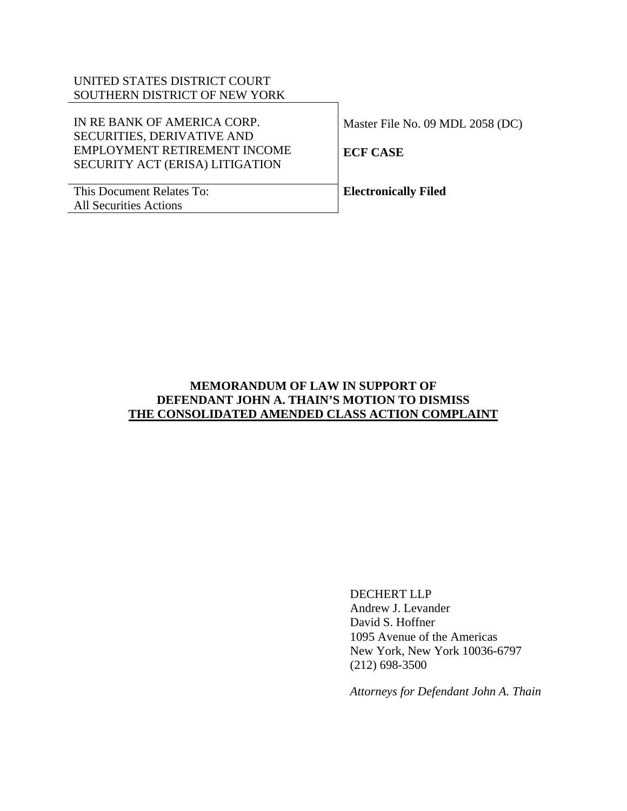# UNITED STATES DISTRICT COURT SOUTHERN DISTRICT OF NEW YORK

| IN RE BANK OF AMERICA CORP.                                       | Master File No. 09 MDL 2058 (DC) |
|-------------------------------------------------------------------|----------------------------------|
| <b>SECURITIES, DERIVATIVE AND</b><br>EMPLOYMENT RETIREMENT INCOME | <b>ECF CASE</b>                  |
| SECURITY ACT (ERISA) LITIGATION                                   |                                  |
| This Document Relates To:                                         | <b>Electronically Filed</b>      |
| <b>All Securities Actions</b>                                     |                                  |

## **MEMORANDUM OF LAW IN SUPPORT OF DEFENDANT JOHN A. THAIN'S MOTION TO DISMISS THE CONSOLIDATED AMENDED CLASS ACTION COMPLAINT**

DECHERT LLP Andrew J. Levander David S. Hoffner 1095 Avenue of the Americas New York, New York 10036-6797 (212) 698-3500

*Attorneys for Defendant John A. Thain*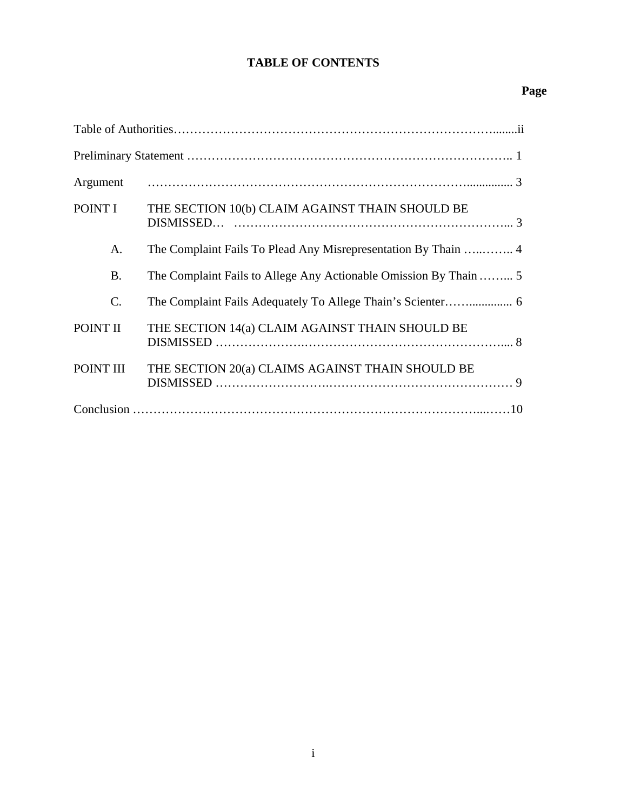# **TABLE OF CONTENTS**

# **Page**

| Argument        |                                                                   |
|-----------------|-------------------------------------------------------------------|
| POINT I         | THE SECTION 10(b) CLAIM AGAINST THAIN SHOULD BE                   |
| A.              |                                                                   |
| <b>B.</b>       | The Complaint Fails to Allege Any Actionable Omission By Thain  5 |
| $\mathcal{C}$ . |                                                                   |
| POINT II        | THE SECTION 14(a) CLAIM AGAINST THAIN SHOULD BE                   |
| POINT III       | THE SECTION 20(a) CLAIMS AGAINST THAIN SHOULD BE                  |
|                 |                                                                   |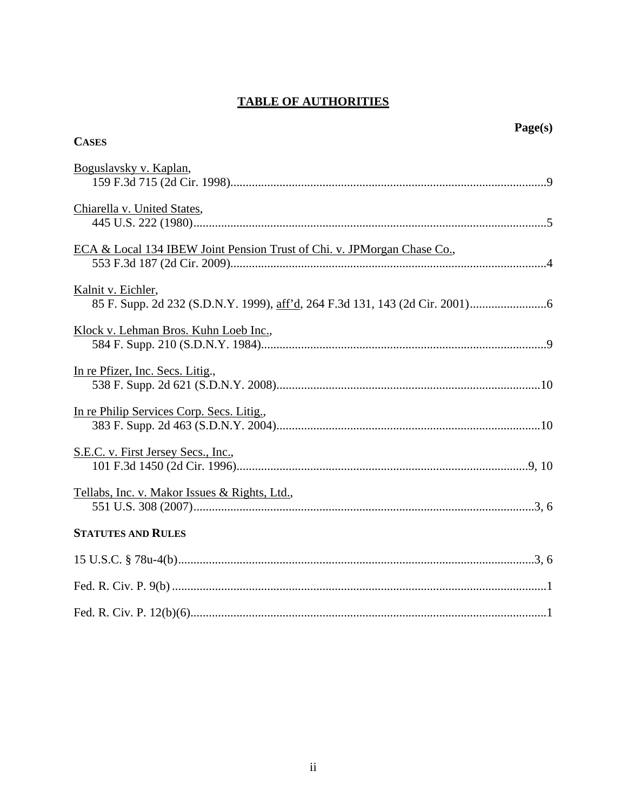# **TABLE OF AUTHORITIES**

| Page(s)<br><b>CASES</b>                                                 |
|-------------------------------------------------------------------------|
| Boguslavsky v. Kaplan,                                                  |
| Chiarella v. United States,                                             |
| ECA & Local 134 IBEW Joint Pension Trust of Chi. v. JPMorgan Chase Co., |
| Kalnit v. Eichler,                                                      |
| Klock v. Lehman Bros. Kuhn Loeb Inc.,                                   |
| In re Pfizer, Inc. Secs. Litig.,                                        |
| In re Philip Services Corp. Secs. Litig.,                               |
| S.E.C. v. First Jersey Secs., Inc.,                                     |
| Tellabs, Inc. v. Makor Issues & Rights, Ltd.,                           |
| <b>STATUTES AND RULES</b>                                               |
|                                                                         |
|                                                                         |
|                                                                         |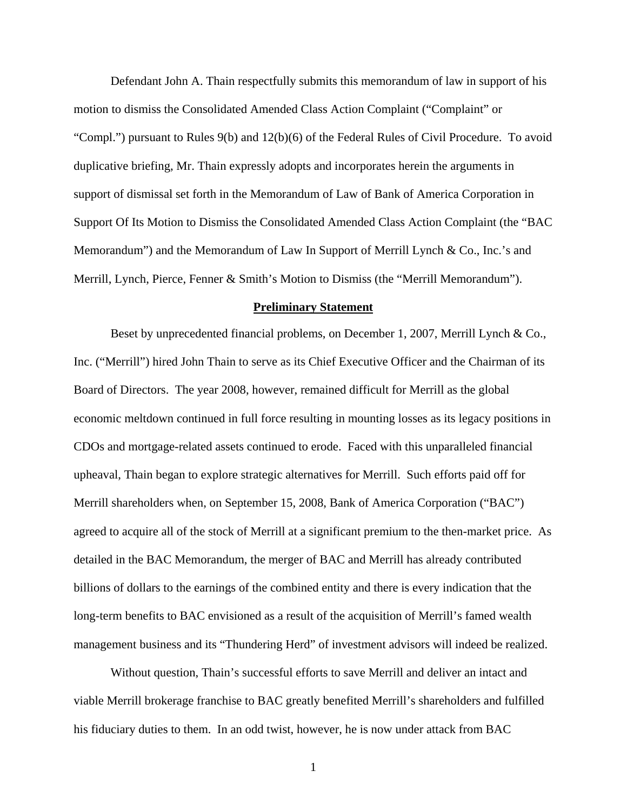<span id="page-3-0"></span>Defendant John A. Thain respectfully submits this memorandum of law in support of his motion to dismiss the Consolidated Amended Class Action Complaint ("Complaint" or "Compl.") pursuant to Rules 9(b) and 12(b)(6) of the Federal Rules of Civil Procedure. To avoid duplicative briefing, Mr. Thain expressly adopts and incorporates herein the arguments in support of dismissal set forth in the Memorandum of Law of Bank of America Corporation in Support Of Its Motion to Dismiss the Consolidated Amended Class Action Complaint (the "BAC Memorandum") and the Memorandum of Law In Support of Merrill Lynch & Co., Inc.'s and Merrill, Lynch, Pierce, Fenner & Smith's Motion to Dismiss (the "Merrill Memorandum").

## **Preliminary Statement**

Beset by unprecedented financial problems, on December 1, 2007, Merrill Lynch & Co., Inc. ("Merrill") hired John Thain to serve as its Chief Executive Officer and the Chairman of its Board of Directors. The year 2008, however, remained difficult for Merrill as the global economic meltdown continued in full force resulting in mounting losses as its legacy positions in CDOs and mortgage-related assets continued to erode. Faced with this unparalleled financial upheaval, Thain began to explore strategic alternatives for Merrill. Such efforts paid off for Merrill shareholders when, on September 15, 2008, Bank of America Corporation ("BAC") agreed to acquire all of the stock of Merrill at a significant premium to the then-market price. As detailed in the BAC Memorandum, the merger of BAC and Merrill has already contributed billions of dollars to the earnings of the combined entity and there is every indication that the long-term benefits to BAC envisioned as a result of the acquisition of Merrill's famed wealth management business and its "Thundering Herd" of investment advisors will indeed be realized.

Without question, Thain's successful efforts to save Merrill and deliver an intact and viable Merrill brokerage franchise to BAC greatly benefited Merrill's shareholders and fulfilled his fiduciary duties to them. In an odd twist, however, he is now under attack from BAC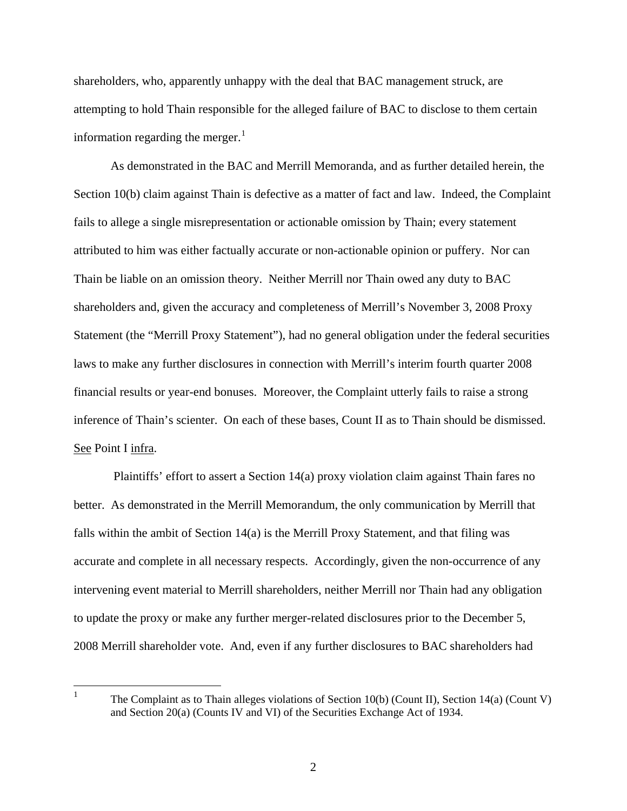shareholders, who, apparently unhappy with the deal that BAC management struck, are attempting to hold Thain responsible for the alleged failure of BAC to disclose to them certain information regarding the merger. $<sup>1</sup>$  $<sup>1</sup>$  $<sup>1</sup>$ </sup>

As demonstrated in the BAC and Merrill Memoranda, and as further detailed herein, the Section 10(b) claim against Thain is defective as a matter of fact and law. Indeed, the Complaint fails to allege a single misrepresentation or actionable omission by Thain; every statement attributed to him was either factually accurate or non-actionable opinion or puffery. Nor can Thain be liable on an omission theory. Neither Merrill nor Thain owed any duty to BAC shareholders and, given the accuracy and completeness of Merrill's November 3, 2008 Proxy Statement (the "Merrill Proxy Statement"), had no general obligation under the federal securities laws to make any further disclosures in connection with Merrill's interim fourth quarter 2008 financial results or year-end bonuses. Moreover, the Complaint utterly fails to raise a strong inference of Thain's scienter. On each of these bases, Count II as to Thain should be dismissed. See Point I infra.

 Plaintiffs' effort to assert a Section 14(a) proxy violation claim against Thain fares no better. As demonstrated in the Merrill Memorandum, the only communication by Merrill that falls within the ambit of Section 14(a) is the Merrill Proxy Statement, and that filing was accurate and complete in all necessary respects. Accordingly, given the non-occurrence of any intervening event material to Merrill shareholders, neither Merrill nor Thain had any obligation to update the proxy or make any further merger-related disclosures prior to the December 5, 2008 Merrill shareholder vote. And, even if any further disclosures to BAC shareholders had

<span id="page-4-0"></span> $\frac{1}{1}$  The Complaint as to Thain alleges violations of Section 10(b) (Count II), Section 14(a) (Count V) and Section 20(a) (Counts IV and VI) of the Securities Exchange Act of 1934.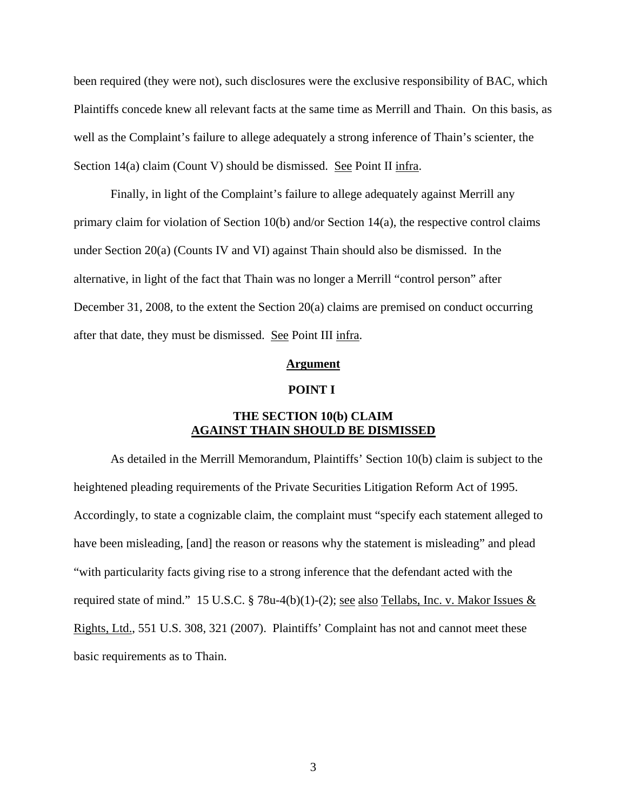<span id="page-5-0"></span>been required (they were not), such disclosures were the exclusive responsibility of BAC, which Plaintiffs concede knew all relevant facts at the same time as Merrill and Thain. On this basis, as well as the Complaint's failure to allege adequately a strong inference of Thain's scienter, the Section 14(a) claim (Count V) should be dismissed. See Point II infra.

Finally, in light of the Complaint's failure to allege adequately against Merrill any primary claim for violation of Section 10(b) and/or Section 14(a), the respective control claims under Section 20(a) (Counts IV and VI) against Thain should also be dismissed. In the alternative, in light of the fact that Thain was no longer a Merrill "control person" after December 31, 2008, to the extent the Section 20(a) claims are premised on conduct occurring after that date, they must be dismissed. See Point III infra.

### **Argument**

### **POINT I**

## **THE SECTION 10(b) CLAIM AGAINST THAIN SHOULD BE DISMISSED**

As detailed in the Merrill Memorandum, Plaintiffs' Section 10(b) claim is subject to the heightened pleading requirements of the Private Securities Litigation Reform Act of 1995. Accordingly, to state a cognizable claim, the complaint must "specify each statement alleged to have been misleading, [and] the reason or reasons why the statement is misleading" and plead "with particularity facts giving rise to a strong inference that the defendant acted with the required state of mind." 15 U.S.C. § 78u-4(b)(1)-(2); <u>see also Tellabs</u>, Inc. v. Makor Issues  $&$ Rights, Ltd., 551 U.S. 308, 321 (2007). Plaintiffs' Complaint has not and cannot meet these basic requirements as to Thain.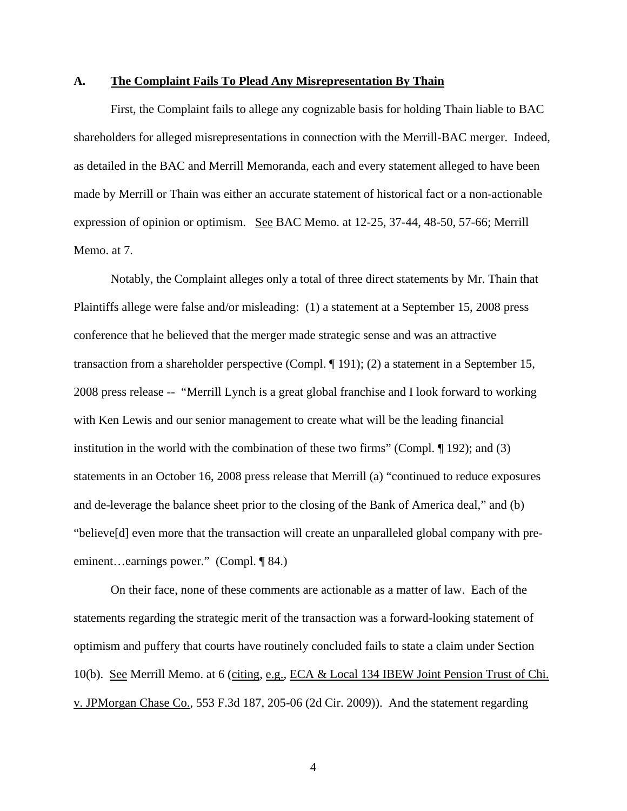### <span id="page-6-0"></span>**A. The Complaint Fails To Plead Any Misrepresentation By Thain**

First, the Complaint fails to allege any cognizable basis for holding Thain liable to BAC shareholders for alleged misrepresentations in connection with the Merrill-BAC merger. Indeed, as detailed in the BAC and Merrill Memoranda, each and every statement alleged to have been made by Merrill or Thain was either an accurate statement of historical fact or a non-actionable expression of opinion or optimism. See BAC Memo. at 12-25, 37-44, 48-50, 57-66; Merrill Memo. at 7.

Notably, the Complaint alleges only a total of three direct statements by Mr. Thain that Plaintiffs allege were false and/or misleading: (1) a statement at a September 15, 2008 press conference that he believed that the merger made strategic sense and was an attractive transaction from a shareholder perspective (Compl. ¶ 191); (2) a statement in a September 15, 2008 press release -- "Merrill Lynch is a great global franchise and I look forward to working with Ken Lewis and our senior management to create what will be the leading financial institution in the world with the combination of these two firms" (Compl. ¶ 192); and (3) statements in an October 16, 2008 press release that Merrill (a) "continued to reduce exposures and de-leverage the balance sheet prior to the closing of the Bank of America deal," and (b) "believe[d] even more that the transaction will create an unparalleled global company with preeminent…earnings power." (Compl. ¶ 84.)

On their face, none of these comments are actionable as a matter of law. Each of the statements regarding the strategic merit of the transaction was a forward-looking statement of optimism and puffery that courts have routinely concluded fails to state a claim under Section 10(b). See Merrill Memo. at 6 (citing, e.g., ECA & Local 134 IBEW Joint Pension Trust of Chi. v. JPMorgan Chase Co., 553 F.3d 187, 205-06 (2d Cir. 2009)). And the statement regarding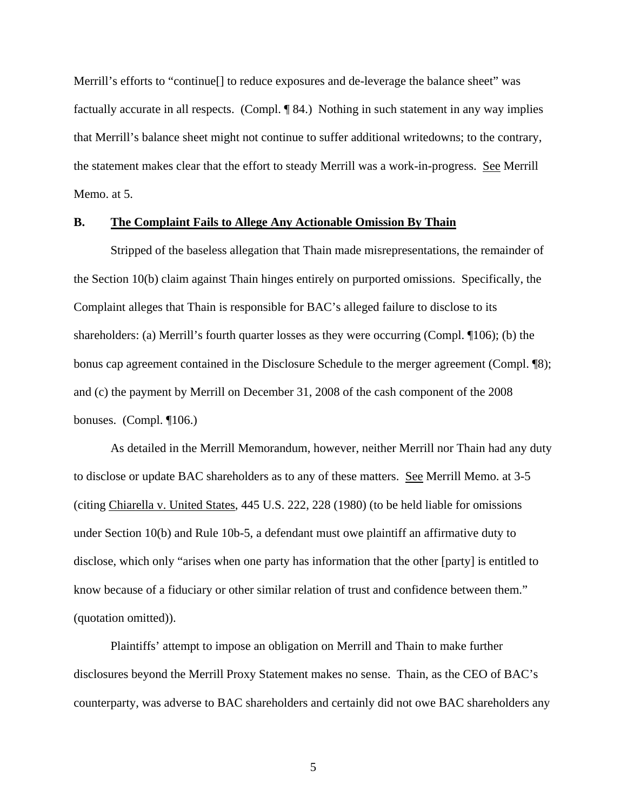<span id="page-7-0"></span>Merrill's efforts to "continue<sup>[]</sup> to reduce exposures and de-leverage the balance sheet" was factually accurate in all respects. (Compl. ¶ 84.) Nothing in such statement in any way implies that Merrill's balance sheet might not continue to suffer additional writedowns; to the contrary, the statement makes clear that the effort to steady Merrill was a work-in-progress. See Merrill Memo. at 5.

## **B. The Complaint Fails to Allege Any Actionable Omission By Thain**

Stripped of the baseless allegation that Thain made misrepresentations, the remainder of the Section 10(b) claim against Thain hinges entirely on purported omissions. Specifically, the Complaint alleges that Thain is responsible for BAC's alleged failure to disclose to its shareholders: (a) Merrill's fourth quarter losses as they were occurring (Compl. ¶106); (b) the bonus cap agreement contained in the Disclosure Schedule to the merger agreement (Compl. ¶8); and (c) the payment by Merrill on December 31, 2008 of the cash component of the 2008 bonuses. (Compl. ¶106.)

As detailed in the Merrill Memorandum, however, neither Merrill nor Thain had any duty to disclose or update BAC shareholders as to any of these matters. See Merrill Memo. at 3-5 (citing Chiarella v. United States, 445 U.S. 222, 228 (1980) (to be held liable for omissions under Section 10(b) and Rule 10b-5, a defendant must owe plaintiff an affirmative duty to disclose, which only "arises when one party has information that the other [party] is entitled to know because of a fiduciary or other similar relation of trust and confidence between them." (quotation omitted)).

Plaintiffs' attempt to impose an obligation on Merrill and Thain to make further disclosures beyond the Merrill Proxy Statement makes no sense. Thain, as the CEO of BAC's counterparty, was adverse to BAC shareholders and certainly did not owe BAC shareholders any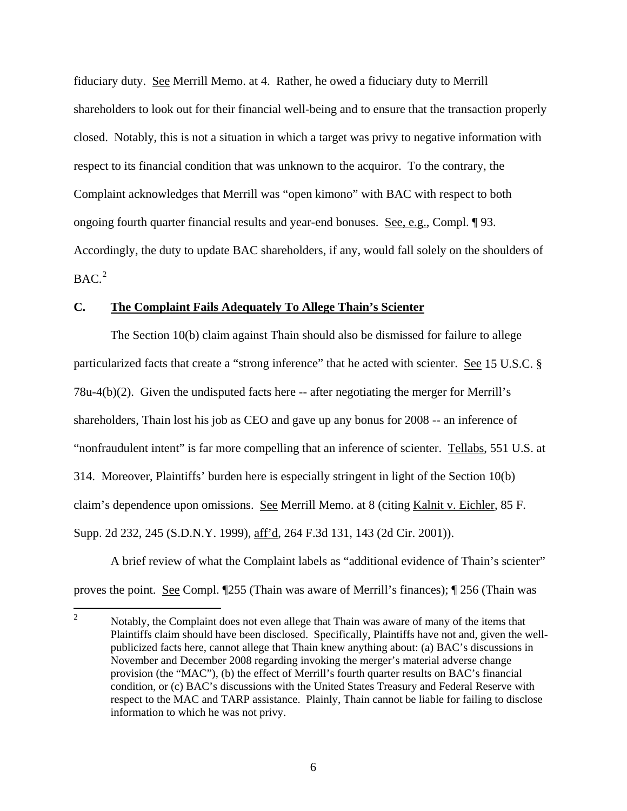<span id="page-8-0"></span>fiduciary duty. See Merrill Memo. at 4. Rather, he owed a fiduciary duty to Merrill shareholders to look out for their financial well-being and to ensure that the transaction properly closed. Notably, this is not a situation in which a target was privy to negative information with respect to its financial condition that was unknown to the acquiror. To the contrary, the Complaint acknowledges that Merrill was "open kimono" with BAC with respect to both ongoing fourth quarter financial results and year-end bonuses. See, e.g., Compl. ¶ 93. Accordingly, the duty to update BAC shareholders, if any, would fall solely on the shoulders of  $BAC<sup>2</sup>$  $BAC<sup>2</sup>$  $BAC<sup>2</sup>$ 

## **C. The Complaint Fails Adequately To Allege Thain's Scienter**

The Section 10(b) claim against Thain should also be dismissed for failure to allege particularized facts that create a "strong inference" that he acted with scienter. See 15 U.S.C. §  $78u-4(b)(2)$ . Given the undisputed facts here  $-$  after negotiating the merger for Merrill's shareholders, Thain lost his job as CEO and gave up any bonus for 2008 -- an inference of "nonfraudulent intent" is far more compelling that an inference of scienter. Tellabs, 551 U.S. at 314. Moreover, Plaintiffs' burden here is especially stringent in light of the Section 10(b) claim's dependence upon omissions. See Merrill Memo. at 8 (citing Kalnit v. Eichler, 85 F. Supp. 2d 232, 245 (S.D.N.Y. 1999), aff'd, 264 F.3d 131, 143 (2d Cir. 2001)).

A brief review of what the Complaint labels as "additional evidence of Thain's scienter" proves the point. See Compl. ¶255 (Thain was aware of Merrill's finances); ¶ 256 (Thain was

<span id="page-8-1"></span> $\frac{1}{2}$  Notably, the Complaint does not even allege that Thain was aware of many of the items that Plaintiffs claim should have been disclosed. Specifically, Plaintiffs have not and, given the wellpublicized facts here, cannot allege that Thain knew anything about: (a) BAC's discussions in November and December 2008 regarding invoking the merger's material adverse change provision (the "MAC"), (b) the effect of Merrill's fourth quarter results on BAC's financial condition, or (c) BAC's discussions with the United States Treasury and Federal Reserve with respect to the MAC and TARP assistance. Plainly, Thain cannot be liable for failing to disclose information to which he was not privy.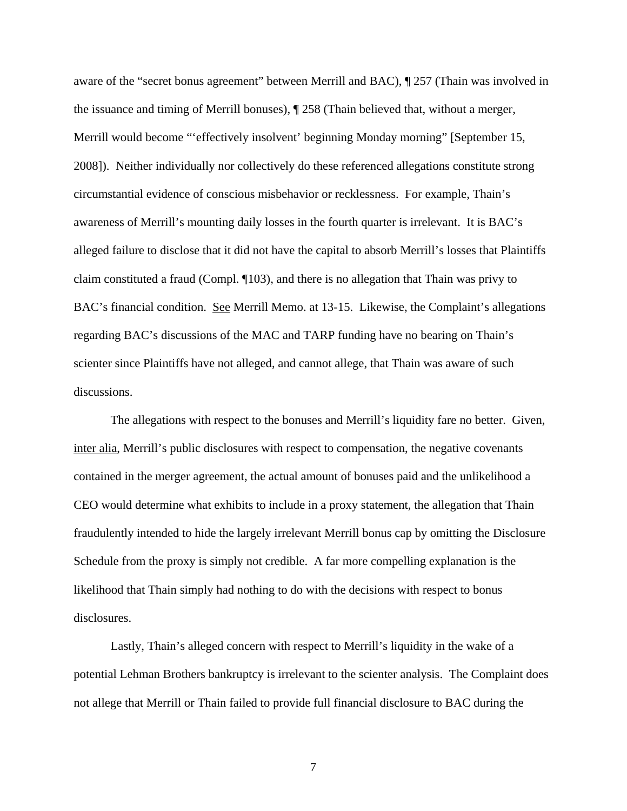aware of the "secret bonus agreement" between Merrill and BAC), ¶ 257 (Thain was involved in the issuance and timing of Merrill bonuses), ¶ 258 (Thain believed that, without a merger, Merrill would become "'effectively insolvent' beginning Monday morning" [September 15, 2008]). Neither individually nor collectively do these referenced allegations constitute strong circumstantial evidence of conscious misbehavior or recklessness. For example, Thain's awareness of Merrill's mounting daily losses in the fourth quarter is irrelevant. It is BAC's alleged failure to disclose that it did not have the capital to absorb Merrill's losses that Plaintiffs claim constituted a fraud (Compl. ¶103), and there is no allegation that Thain was privy to BAC's financial condition. See Merrill Memo. at 13-15. Likewise, the Complaint's allegations regarding BAC's discussions of the MAC and TARP funding have no bearing on Thain's scienter since Plaintiffs have not alleged, and cannot allege, that Thain was aware of such discussions.

The allegations with respect to the bonuses and Merrill's liquidity fare no better. Given, inter alia, Merrill's public disclosures with respect to compensation, the negative covenants contained in the merger agreement, the actual amount of bonuses paid and the unlikelihood a CEO would determine what exhibits to include in a proxy statement, the allegation that Thain fraudulently intended to hide the largely irrelevant Merrill bonus cap by omitting the Disclosure Schedule from the proxy is simply not credible. A far more compelling explanation is the likelihood that Thain simply had nothing to do with the decisions with respect to bonus disclosures.

Lastly, Thain's alleged concern with respect to Merrill's liquidity in the wake of a potential Lehman Brothers bankruptcy is irrelevant to the scienter analysis. The Complaint does not allege that Merrill or Thain failed to provide full financial disclosure to BAC during the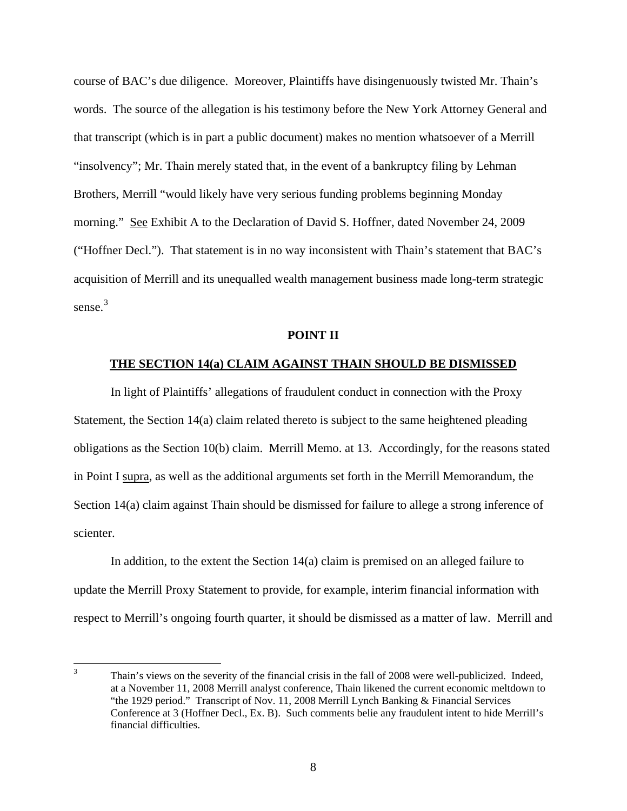course of BAC's due diligence. Moreover, Plaintiffs have disingenuously twisted Mr. Thain's words. The source of the allegation is his testimony before the New York Attorney General and that transcript (which is in part a public document) makes no mention whatsoever of a Merrill "insolvency"; Mr. Thain merely stated that, in the event of a bankruptcy filing by Lehman Brothers, Merrill "would likely have very serious funding problems beginning Monday morning." See Exhibit A to the Declaration of David S. Hoffner, dated November 24, 2009 ("Hoffner Decl."). That statement is in no way inconsistent with Thain's statement that BAC's acquisition of Merrill and its unequalled wealth management business made long-term strategic sense.<sup>[3](#page-10-0)</sup>

#### **POINT II**

#### **THE SECTION 14(a) CLAIM AGAINST THAIN SHOULD BE DISMISSED**

 In light of Plaintiffs' allegations of fraudulent conduct in connection with the Proxy Statement, the Section 14(a) claim related thereto is subject to the same heightened pleading obligations as the Section 10(b) claim. Merrill Memo. at 13. Accordingly, for the reasons stated in Point I supra, as well as the additional arguments set forth in the Merrill Memorandum, the Section 14(a) claim against Thain should be dismissed for failure to allege a strong inference of scienter.

 In addition, to the extent the Section 14(a) claim is premised on an alleged failure to update the Merrill Proxy Statement to provide, for example, interim financial information with respect to Merrill's ongoing fourth quarter, it should be dismissed as a matter of law. Merrill and

<span id="page-10-0"></span> $\frac{1}{3}$  Thain's views on the severity of the financial crisis in the fall of 2008 were well-publicized. Indeed, at a November 11, 2008 Merrill analyst conference, Thain likened the current economic meltdown to "the 1929 period." Transcript of Nov. 11, 2008 Merrill Lynch Banking & Financial Services Conference at 3 (Hoffner Decl., Ex. B). Such comments belie any fraudulent intent to hide Merrill's financial difficulties.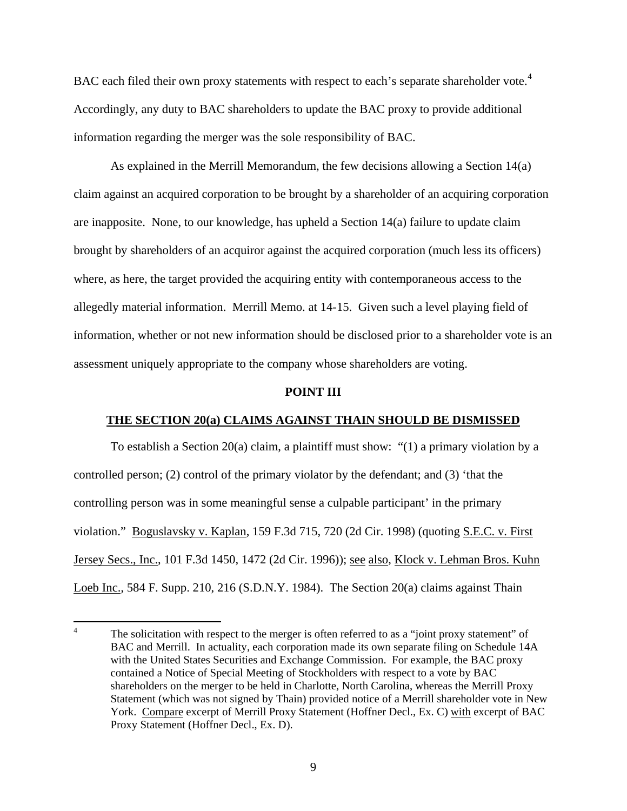<span id="page-11-0"></span>BAC each filed their own proxy statements with respect to each's separate shareholder vote.<sup>[4](#page-11-1)</sup> Accordingly, any duty to BAC shareholders to update the BAC proxy to provide additional information regarding the merger was the sole responsibility of BAC.

As explained in the Merrill Memorandum, the few decisions allowing a Section 14(a) claim against an acquired corporation to be brought by a shareholder of an acquiring corporation are inapposite. None, to our knowledge, has upheld a Section 14(a) failure to update claim brought by shareholders of an acquiror against the acquired corporation (much less its officers) where, as here, the target provided the acquiring entity with contemporaneous access to the allegedly material information. Merrill Memo. at 14-15. Given such a level playing field of information, whether or not new information should be disclosed prior to a shareholder vote is an assessment uniquely appropriate to the company whose shareholders are voting.

### **POINT III**

## **THE SECTION 20(a) CLAIMS AGAINST THAIN SHOULD BE DISMISSED**

To establish a Section 20(a) claim, a plaintiff must show: "(1) a primary violation by a controlled person; (2) control of the primary violator by the defendant; and (3) 'that the controlling person was in some meaningful sense a culpable participant' in the primary violation." Boguslavsky v. Kaplan, 159 F.3d 715, 720 (2d Cir. 1998) (quoting S.E.C. v. First Jersey Secs., Inc., 101 F.3d 1450, 1472 (2d Cir. 1996)); see also, Klock v. Lehman Bros. Kuhn Loeb Inc.*,* 584 F. Supp. 210, 216 (S.D.N.Y. 1984). The Section 20(a) claims against Thain

<span id="page-11-1"></span> $\frac{1}{4}$  The solicitation with respect to the merger is often referred to as a "joint proxy statement" of BAC and Merrill. In actuality, each corporation made its own separate filing on Schedule 14A with the United States Securities and Exchange Commission. For example, the BAC proxy contained a Notice of Special Meeting of Stockholders with respect to a vote by BAC shareholders on the merger to be held in Charlotte, North Carolina, whereas the Merrill Proxy Statement (which was not signed by Thain) provided notice of a Merrill shareholder vote in New York. Compare excerpt of Merrill Proxy Statement (Hoffner Decl., Ex. C) with excerpt of BAC Proxy Statement (Hoffner Decl., Ex. D).